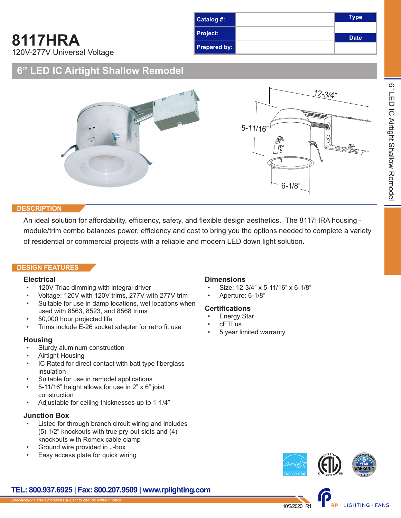### **8117HRA** 120V-277V Universal Voltage



### **6" LED IC Airtight Shallow Remodel**



#### **DESCRIPTION**

An ideal solution for affordability, efficiency, safety, and flexible design aesthetics. The 8117HRA housing module/trim combo balances power, efficiency and cost to bring you the options needed to complete a variety of residential or commercial projects with a reliable and modern LED down light solution.

#### **DESIGN FEATURES**

#### **Electrical**

- 120V Triac dimming with integral driver
- Voltage: 120V with 120V trims, 277V with 277V trim
- Suitable for use in damp locations, wet locations when used with 8563, 8523, and 8568 trims
- 50,000 hour projected life
- Trims include E-26 socket adapter for retro fit use

#### **Housing**

- Sturdy aluminum construction
- Airtight Housing
- IC Rated for direct contact with batt type fiberglass insulation
- Suitable for use in remodel applications
- 5-11/16" height allows for use in 2" x 6" joist construction
- Adjustable for ceiling thicknesses up to 1-1/4"

#### **Junction Box**

Listed for through branch circuit wiring and includes (5) 1/2" knockouts with true pry-out slots and (4) knockouts with Romex cable clamp

**TEL: 800.937.6925 | Fax: 800.207.9509 | www.rplighting.com**

- Ground wire provided in J-box
- Easy access plate for quick wiring

#### **Dimensions**

- Size: 12-3/4" x 5-11/16" x 6-1/8"
- Aperture: 6-1/8"

#### **Certifications**

- **Energy Star**
- cETLus
- 5 year limited warranty